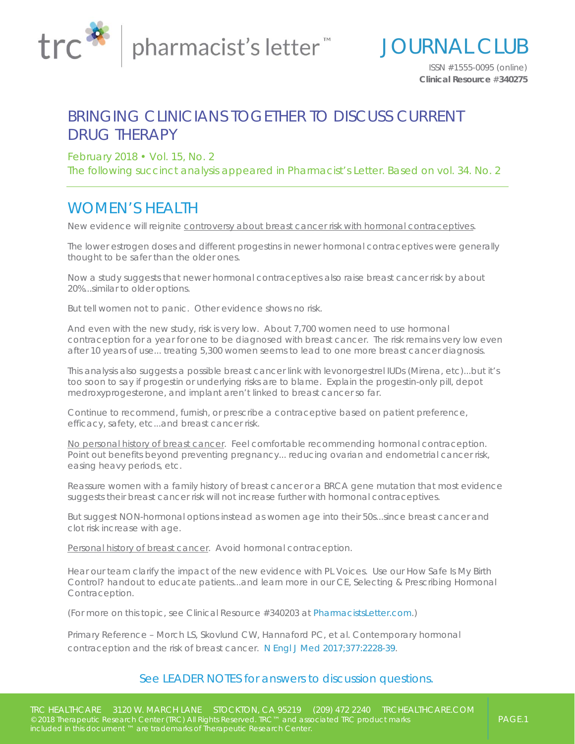

*ISSN #1555-0095 (online)*  **Clinical Resource** #**340275**

JOURNAL CLUB

## BRINGING CLINICIANS TOGETHER TO DISCUSS CURRENT DRUG THERAPY

February 2018 • Vol. 15, No. 2

The following succinct analysis appeared in *Pharmacist's Letter*. Based on vol. 34. No. 2

## *WOMEN'S HEALTH*

New evidence will reignite controversy about breast cancer risk with hormonal contraceptives.

The lower estrogen doses and different progestins in newer hormonal contraceptives were generally thought to be safer than the older ones.

Now a study suggests that newer hormonal contraceptives also raise breast cancer risk by about 20%...similar to older options.

But tell women not to panic. Other evidence shows no risk.

And even with the new study, risk is very low. About 7,700 women need to use hormonal contraception for a year for one to be diagnosed with breast cancer. The risk remains very low even after 10 years of use... treating 5,300 women seems to lead to one more breast cancer diagnosis.

This analysis also suggests a possible breast cancer link with levonorgestrel IUDs (*Mirena*, etc)...but it's too soon to say if progestin or underlying risks are to blame. Explain the progestin-only pill, depot medroxyprogesterone, and implant aren't linked to breast cancer so far.

Continue to recommend, furnish, or prescribe a contraceptive based on patient preference, efficacy, safety, etc...and breast cancer risk.

No personal history of breast cancer. Feel comfortable recommending hormonal contraception. Point out benefits beyond preventing pregnancy... reducing ovarian and endometrial cancer risk, easing heavy periods, etc.

Reassure women with a family history of breast cancer or a BRCA gene mutation that most evidence suggests their breast cancer risk will not increase further with hormonal contraceptives.

But suggest NON-hormonal options instead as women age into their 50s...since breast cancer and clot risk increase with age.

Personal history of breast cancer. Avoid hormonal contraception.

Hear our team clarify the impact of the new evidence with *PL Voices*. Use our *How Safe Is My Birth Control?* handout to educate patients...and learn more in our CE, *Selecting & Prescribing Hormonal Contraception*.

*(For more on this topic, see Clinical Resource #340203 at [PharmacistsLetter.com](http://pharmacistsletter.com).)* 

*Primary Reference – Morch LS, Skovlund CW, Hannaford PC, et al. Contemporary hormonal contraception and the risk of breast cancer. [N Engl J Med 2017;377:2228-39.](https://www.ncbi.nlm.nih.gov/pubmed/29211679)*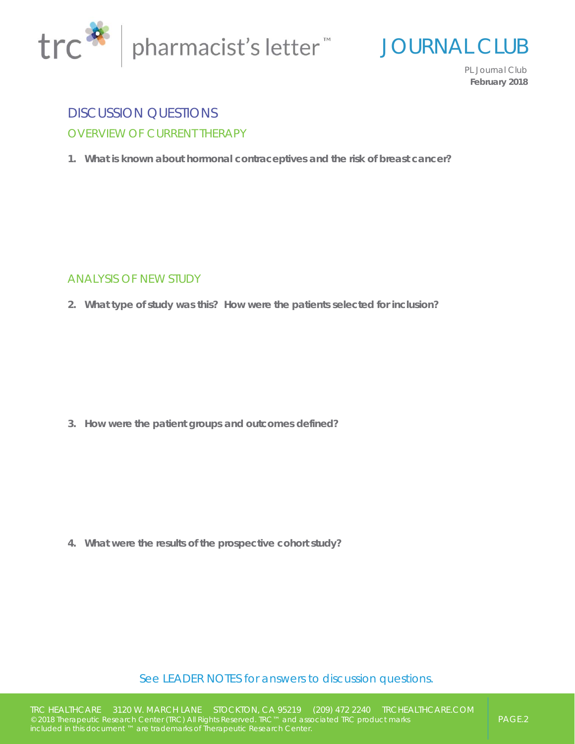



*PL Journal Club*  **February 2018**

## DISCUSSION QUESTIONS OVERVIEW OF CURRENT THERAPY

**1. What is known about hormonal contraceptives and the risk of breast cancer?**

#### ANALYSIS OF NEW STUDY

**2. What type of study was this? How were the patients selected for inclusion?**

**3. How were the patient groups and outcomes defined?**

**4. What were the results of the prospective cohort study?**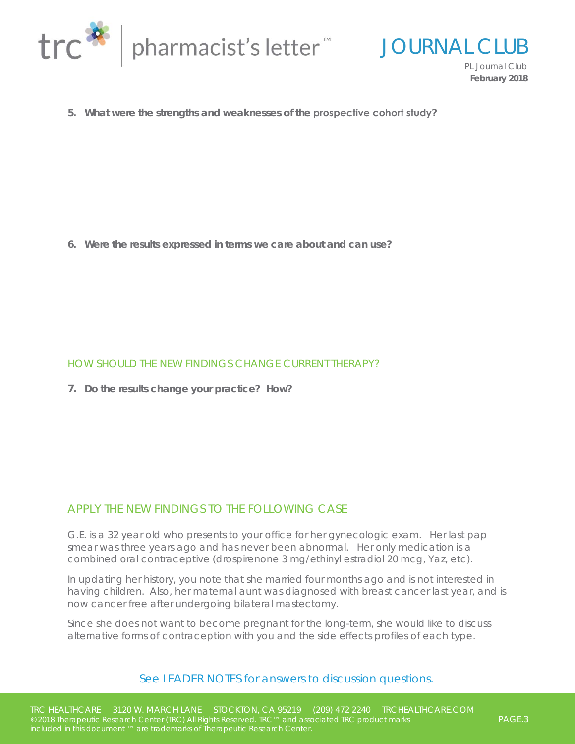

JOURNAL CLUB

*PL Journal Club*  **February 2018**

**5. What were the strengths and weaknesses of the prospective cohort study?**

**6. Were the results expressed in terms we care about and can use?**

#### HOW SHOULD THE NEW FINDINGS CHANGE CURRENT THERAPY?

**7. Do the results change your practice? How?**

#### APPLY THE NEW FINDINGS TO THE FOLLOWING CASE

G.E. is a 32 year old who presents to your office for her gynecologic exam. Her last pap smear was three years ago and has never been abnormal. Her only medication is a combined oral contraceptive (drospirenone 3 mg/ethinyl estradiol 20 mcg, *Yaz*, etc).

In updating her history, you note that she married four months ago and is not interested in having children. Also, her maternal aunt was diagnosed with breast cancer last year, and is now cancer free after undergoing bilateral mastectomy.

Since she does not want to become pregnant for the long-term, she would like to discuss alternative forms of contraception with you and the side effects profiles of each type.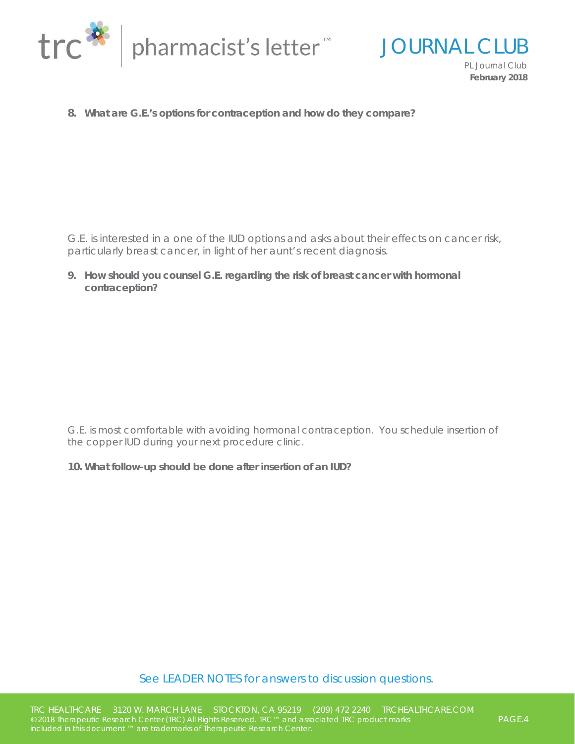

JOURNAL CLUB *PL Journal Club*  **February 2018**

**8. What are G.E.'s options for contraception and how do they compare?**

G.E. is interested in a one of the IUD options and asks about their effects on cancer risk, particularly breast cancer, in light of her aunt's recent diagnosis.

**9. How should you counsel G.E. regarding the risk of breast cancer with hormonal contraception?** 

G.E. is most comfortable with avoiding hormonal contraception. You schedule insertion of the copper IUD during your next procedure clinic.

**10. What follow-up should be done after insertion of an IUD?**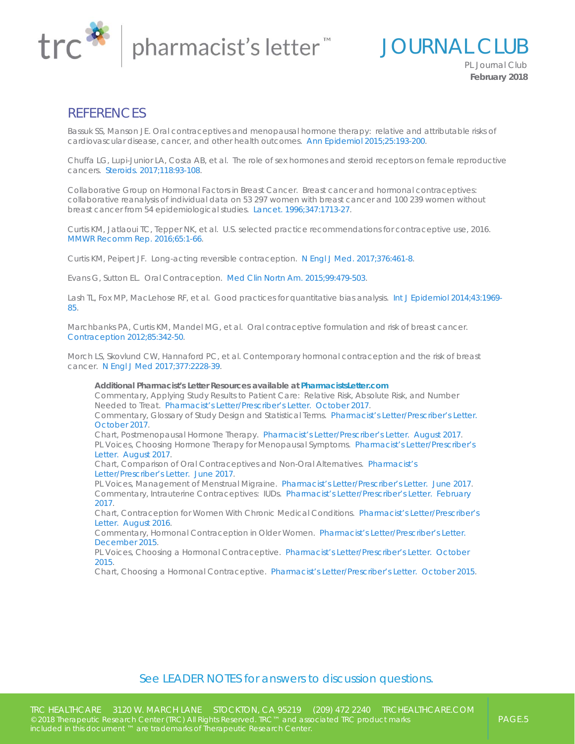

JOURNAL CLUB *PL Journal Club* 

**February 2018**

### **REFERENCES**

*Bassuk SS, Manson JE. Oral contraceptives and menopausal hormone therapy: relative and attributable risks of cardiovascular disease, cancer, and other health outcomes. [Ann Epidemiol 2015;25:193-200](https://www.ncbi.nlm.nih.gov/pubmed/25534509).* 

*Chuffa LG, Lupi-Junior LA, Costa AB, et al. The role of sex hormones and steroid receptors on female reproductive cancers. [Steroids. 2017;118:93-108.](https://www.ncbi.nlm.nih.gov/pubmed/28041951)* 

*Collaborative Group on Hormonal Factors in Breast Cancer. Breast cancer and hormonal contraceptives: collaborative reanalysis of individual data on 53 297 women with breast cancer and 100 239 women without breast cancer from 54 epidemiological studies. [Lancet. 1996;347:1713-27](https://www.ncbi.nlm.nih.gov/pubmed/8656904).* 

*Curtis KM, Jatlaoui TC, Tepper NK, et al. U.S. selected practice recommendations for contraceptive use, 2016. [MMWR Recomm Rep. 2016;65:1-66](https://www.ncbi.nlm.nih.gov/pubmed/27467319).* 

*Curtis KM, Peipert JF. Long-acting reversible contraception. [N Engl J Med. 2017;376:461-8](https://www.ncbi.nlm.nih.gov/pubmed/28146650).* 

*Evans G, Sutton EL. Oral Contraception. [Med Clin Nortn Am. 2015;99:479-503](https://www.ncbi.nlm.nih.gov/pubmed/25841596).* 

*[Lash TL, Fox MP, MacLehose RF, et al. Good practices for quantitative bias analysis. Int J Epidemiol 2014;43:1969-](https://www.ncbi.nlm.nih.gov/pubmed/25080530) 85.* 

*Marchbanks PA, Curtis KM, Mandel MG, et al. Oral contraceptive formulation and risk of breast cancer. [Contraception 2012;85:342-50.](https://www.ncbi.nlm.nih.gov/pubmed/22067757)* 

*Morch LS, Skovlund CW, Hannaford PC, et al. Contemporary hormonal contraception and the risk of breast cancer. [N Engl J Med 2017;377:2228-39.](https://www.ncbi.nlm.nih.gov/pubmed/29211679)*

*Additional Pharmacist's Letter Resources available at [PharmacistsLetter.com](http://pharmacistsletter.com) Commentary, Applying Study Results to Patient Care: Relative Risk, Absolute Risk, and Number Needed to Treat. [Pharmacist's Letter/Prescriber's Letter. October 2017.](http://pharmacistsletter.therapeuticresearch.com/pl/ArticleDD.aspx?pt=2&dd=331009#COMMENTARY11583) [Commentary, Glossary of Study Design and Statistical Terms. Pharmacist's Letter/Prescriber's Letter.](http://pharmacistsletter.therapeuticresearch.com/pl/ArticleDD.aspx?pt=2&dd=331009#COMMENTARY11582) October 2017. Chart, Postmenopausal Hormone Therapy. [Pharmacist's Letter/Prescriber's Letter. August 2017.](http://pharmacistsletter.therapeuticresearch.com/pl/ArticleDD.aspx?pt=2&dd=330803#CHART11389) [PL Voices, Choosing Hormone Therapy for Menopausal Symptoms. Pharmacist's Letter/Prescriber's](http://pharmacistsletter.therapeuticresearch.com/pl/ArticleDD.aspx?pt=2&dd=330803#PLVOICES11418) Letter. August 2017. [Chart, Comparison of Oral Contraceptives and Non-Oral Alternatives. Pharmacist's](http://pharmacistsletter.therapeuticresearch.com/pl/ArticleDD.aspx?pt=2&dd=330609#CHART11182) Letter/Prescriber's Letter. June 2017. PL Voices, Management of Menstrual Migraine. [Pharmacist's Letter/Prescriber's Letter. June 2017.](http://pharmacistsletter.therapeuticresearch.com/pl/ArticleDD.aspx?pt=2&dd=330609#PLVOICES11180) [Commentary, Intrauterine Contraceptives: IUDs. Pharmacist's Letter/Prescriber's Letter. February](http://pharmacistsletter.therapeuticresearch.com/pl/ArticleDD.aspx?pt=2&dd=310712#COMMENTARY8654) 2017. [Chart, Contraception for Women With Chronic Medical Conditions. Pharmacist's Letter/Prescriber's](http://pharmacistsletter.therapeuticresearch.com/pl/ArticleDD.aspx?pt=2&dd=320901#CHART10111)* 

*Letter. August 2016. [Commentary, Hormonal Contraception in Older Women. Pharmacist's Letter/Prescriber's Letter.](http://pharmacistsletter.therapeuticresearch.com/pl/ArticleDD.aspx?pt=2&dd=320110#COMMENTARY9267)* 

*December 2015.* 

*[PL Voices, Choosing a Hormonal Contraceptive. Pharmacist's Letter/Prescriber's Letter. October](http://pharmacistsletter.therapeuticresearch.com/pl/ArticleDD.aspx?pt=2&dd=311001#PLVOICES8933)  2015.* 

*Chart, Choosing a Hormonal Contraceptive. [Pharmacist's Letter/Prescriber's Letter. October 2015.](http://pharmacistsletter.therapeuticresearch.com/pl/ArticleDD.aspx?pt=2&dd=311001#CHART8934)*